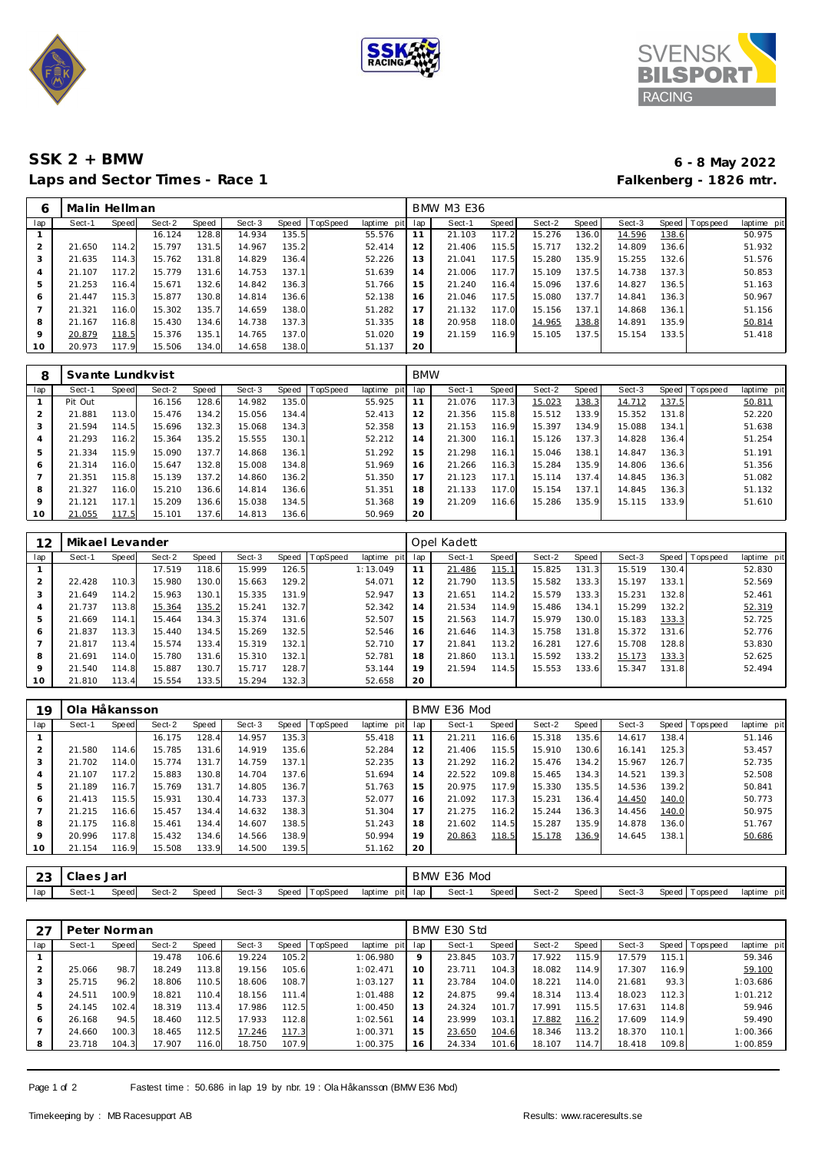





## Laps and Sector Times - Race 1

## **SSK 2 + BMW 6 - 8 May 2022**

| 6   | Malin Hellman |       |        |       |        |       |          |             | <b>BMW M3 E36</b> |        |       |        |       |        |       |                |             |  |
|-----|---------------|-------|--------|-------|--------|-------|----------|-------------|-------------------|--------|-------|--------|-------|--------|-------|----------------|-------------|--|
| lap | Sect-1        | Speed | Sect-2 | Speed | Sect-3 | Speed | TopSpeed | laptime pit | lap               | Sect-1 | Speed | Sect-2 | Speed | Sect-3 |       | Speed Topspeed | laptime pit |  |
|     |               |       | 16.124 | 128.8 | 14.934 | 135.5 |          | 55.576      | 11                | 21.103 | 117.2 | 15.276 | 136.0 | 14.596 | 138.6 |                | 50.975      |  |
| 2   | 21.650        | 114.2 | 15.797 | 131.5 | 14.967 | 135.2 |          | 52.414      | 12                | 21.406 | 115.5 | 15.717 | 132.2 | 14.809 | 136.6 |                | 51.932      |  |
| 3   | 21.635        | 114.3 | 15.762 | 131.8 | 14.829 | 136.4 |          | 52.226      | 13                | 21.041 | 117.5 | 15.280 | 135.9 | 15.255 | 132.6 |                | 51.576      |  |
| 4   | 21.107        | 117.2 | 15.779 | 131.6 | 14.753 | 137.1 |          | 51.639      | 14                | 21.006 | 117.7 | 15.109 | 137.5 | 14.738 | 137.3 |                | 50.853      |  |
| 5   | 21.253        | 116.4 | 15.671 | 132.6 | 14.842 | 136.3 |          | 51.766      | 15                | 21.240 | 116.4 | 15.096 | 137.6 | 14.827 | 136.5 |                | 51.163      |  |
| 6   | 21.447        | 115.3 | 15.877 | 130.8 | 14.814 | 136.6 |          | 52.138      | 16                | 21.046 | 117.5 | 15.080 | 137.7 | 14.841 | 136.3 |                | 50.967      |  |
| 7   | 21.321        | 116.0 | 15.302 | 135.7 | 14.659 | 138.0 |          | 51.282      | 17                | 21.132 | 117.0 | 15.156 | 137.1 | 14.868 | 136.1 |                | 51.156      |  |
| 8   | 21.167        | 116.8 | 15.430 | 134.6 | 14.738 | 137.3 |          | 51.335      | 18                | 20.958 | 118.0 | 14.965 | 138.8 | 14.891 | 135.9 |                | 50.814      |  |
| 9   | 20.879        | 118.5 | 15.376 | 135.1 | 14.765 | 137.0 |          | 51.020      | 19                | 21.159 | 116.9 | 15.105 | 137.5 | 15.154 | 133.5 |                | 51.418      |  |
| 10  | 20.973        | 117.9 | 15.506 | 134.0 | 14.658 | 138.0 |          | 51.137      | 20                |        |       |        |       |        |       |                |             |  |
|     |               |       |        |       |        |       |          |             |                   |        |       |        |       |        |       |                |             |  |

| 8       | Svante Lundkvist |              |        |       |        |       |                 |             | <b>BMW</b> |        |       |        |       |        |       |                   |             |
|---------|------------------|--------------|--------|-------|--------|-------|-----------------|-------------|------------|--------|-------|--------|-------|--------|-------|-------------------|-------------|
| lap     | Sect-1           | <b>Speed</b> | Sect-2 | Speed | Sect-3 | Speed | <b>TopSpeed</b> | laptime pit | lap        | Sect-1 | Speed | Sect-2 | Speed | Sect-3 |       | Speed   Tops peed | laptime pit |
|         | Pit Out          |              | 16.156 | 128.6 | 14.982 | 135.0 |                 | 55.925      |            | 21.076 | 117.3 | 15.023 | 138.3 | 14.712 | 137.5 |                   | 50.811      |
|         | 21.881           | 113.0        | 15.476 | 134.2 | 15.056 | 134.4 |                 | 52.413      | 12         | 21.356 | 115.8 | 15.512 | 133.9 | 15.352 | 131.8 |                   | 52.220      |
|         | .594<br>21       | 114.5        | 15.696 | 132.3 | 15.068 | 134.3 |                 | 52.358      | 13         | 21.153 | 116.9 | 15.397 | 134.9 | 15.088 | 134.1 |                   | 51.638      |
|         | 21.293           | 116.2        | 15.364 | 135.2 | 15.555 | 130.1 |                 | 52.212      | 14         | 21.300 | 116.1 | 15.126 | 137.3 | 14.828 | 136.4 |                   | 51.254      |
|         | 21.334           | 115.9        | 15.090 | 137.7 | 14.868 | 136.1 |                 | 51.292      | 15         | 21.298 | 116.1 | 15.046 | 138.1 | 14.847 | 136.3 |                   | 51.191      |
| 6       | 21.314           | 116.0        | 15.647 | 132.8 | 15.008 | 134.8 |                 | 51.969      | 16         | 21.266 | 116.3 | 15.284 | 135.9 | 14.806 | 136.6 |                   | 51.356      |
|         | .351<br>21       | 115.8        | 15.139 | 137.2 | 14.860 | 136.2 |                 | 51.350      | 17         | 21.123 | 117.1 | 15.114 | 137.4 | 14.845 | 136.3 |                   | 51.082      |
| 8       | 21.327           | 116.0        | 15.210 | 136.6 | 14.814 | 136.6 |                 | 51.351      | 18         | 21.133 | 117.0 | 15.154 | 137.1 | 14.845 | 136.3 |                   | 51.132      |
| $\circ$ | 21.121           | 117.1        | 15.209 | 136.6 | 15.038 | 134.5 |                 | 51.368      | 19         | 21.209 | 116.6 | 15.286 | 135.9 | 15.115 | 133.9 |                   | 51.610      |
| 10      | 21.055           | 117.5        | 15.101 | 137.6 | 14.813 | 136.6 |                 | 50.969      | 20         |        |       |        |       |        |       |                   |             |

| 12  | Mikael Levander |       |        |       |        |       |                 |                | Opel Kadett |        |       |        |       |        |       |                |             |  |
|-----|-----------------|-------|--------|-------|--------|-------|-----------------|----------------|-------------|--------|-------|--------|-------|--------|-------|----------------|-------------|--|
| lap | Sect-1          | Speed | Sect-2 | Speed | Sect-3 | Speed | <b>TopSpeed</b> | laptime<br>pit | lap         | Sect-1 | Speed | Sect-2 | Speed | Sect-3 |       | Speed Topspeed | laptime pit |  |
|     |                 |       | 17.519 | 118.6 | 15.999 | 126.5 |                 | 1:13.049       |             | 21.486 | 115.1 | 15.825 | 131.3 | 15.519 | 130.4 |                | 52.830      |  |
|     | 22.428          | 110.3 | 15.980 | 130.0 | 15.663 | 129.2 |                 | 54.071         | 12          | 21.790 | 113.5 | 15.582 | 133.3 | 15.197 | 133.1 |                | 52.569      |  |
| 3   | 21.649          | 114.2 | 15.963 | 130.1 | 15.335 | 131.9 |                 | 52.947         | 13          | 21.651 | 114.2 | 15.579 | 133.3 | 15.231 | 132.8 |                | 52.461      |  |
| 4   | 21.737          | 113.8 | 15.364 | 135.2 | 15.241 | 132.7 |                 | 52.342         | 14          | 21.534 | 114.9 | 15.486 | 134.1 | 15.299 | 132.2 |                | 52.319      |  |
| 5   | 21.669          | 114.1 | 15.464 | 134.3 | 15.374 | 131.6 |                 | 52.507         | 15          | 21.563 | 114.7 | 15.979 | 130.0 | 15.183 | 133.3 |                | 52.725      |  |
| 6   | 21.837          | 113.3 | 15.440 | 134.5 | 15.269 | 132.5 |                 | 52.546         | 16          | 21.646 | 114.3 | 15.758 | 131.8 | 15.372 | 131.6 |                | 52.776      |  |
|     | 21.817          | 113.4 | 15.574 | 133.4 | 15.319 | 132.1 |                 | 52.710         | 17          | 21.841 | 113.2 | 16.281 | 127.6 | 15.708 | 128.8 |                | 53.830      |  |
| 8   | 21.691          | 114.0 | 15.780 | 131.6 | 15.310 | 132.1 |                 | 52.781         | 18          | 21.860 | 113.1 | 15.592 | 133.2 | 15.173 | 133.3 |                | 52.625      |  |
| 9   | 21.540          | 114.8 | 15.887 | 130.7 | 15.717 | 128.7 |                 | 53.144         | 19          | 21.594 | 114.5 | 15.553 | 133.6 | 15.347 | 131.8 |                | 52.494      |  |
| 10  | 21.810          | 113.4 | 15.554 | 133.5 | 15.294 | 132.3 |                 | 52.658         | 20          |        |       |        |       |        |       |                |             |  |

| 19             | Ola Håkansson |       |        |       |        |       |                 |                | BMW E36 Mod |        |       |        |       |        |       |                 |             |  |
|----------------|---------------|-------|--------|-------|--------|-------|-----------------|----------------|-------------|--------|-------|--------|-------|--------|-------|-----------------|-------------|--|
| lap            | Sect-1        | Speed | Sect-2 | Speed | Sect-3 | Speed | <b>TopSpeed</b> | laptime<br>pit | lap         | Sect-1 | Speed | Sect-2 | Speed | Sect-3 |       | Speed Tops peed | laptime pit |  |
|                |               |       | 16.175 | 128.4 | 14.957 | 135.3 |                 | 55.418         | 11          | 21.211 | 116.6 | 15.318 | 135.6 | 14.617 | 138.4 |                 | 51.146      |  |
| $\overline{2}$ | 21.580        | 114.6 | 15.785 | 131.6 | 14.919 | 135.6 |                 | 52.284         | 12          | 21.406 | 115.5 | 15.910 | 130.6 | 16.141 | 125.3 |                 | 53.457      |  |
| 3              | 21.702        | 114.0 | 15.774 | 131.7 | 14.759 | 137.1 |                 | 52.235         | 13          | 21.292 | 116.2 | 15.476 | 134.2 | 15.967 | 126.7 |                 | 52.735      |  |
| 4              | 21.107        | 117.2 | 15.883 | 130.8 | 14.704 | 137.6 |                 | 51.694         | 14          | 22.522 | 109.8 | 15.465 | 134.3 | 14.521 | 139.3 |                 | 52.508      |  |
| 5              | 21.189        | 116.7 | 15.769 | 131.7 | 14.805 | 136.7 |                 | 51.763         | 15          | 20.975 | 117.9 | 15.330 | 135.5 | 14.536 | 139.2 |                 | 50.841      |  |
| 6              | 21.413        | 115.5 | 15.931 | 130.4 | 14.733 | 137.3 |                 | 52.077         | 16          | 21.092 | 117.3 | 15.231 | 136.4 | 14.450 | 140.0 |                 | 50.773      |  |
|                | 21.215        | 116.6 | 15.457 | 134.4 | 14.632 | 138.3 |                 | 51.304         | 17          | 21.275 | 116.2 | 15.244 | 136.3 | 14.456 | 140.0 |                 | 50.975      |  |
| 8              | 21.175        | 116.8 | 15.461 | 134.4 | 14.607 | 138.5 |                 | 51.243         | 18          | 21.602 | 114.5 | 15.287 | 135.9 | 14.878 | 136.0 |                 | 51.767      |  |
| $\circ$        | 20.996        | 117.8 | 15.432 | 134.6 | 14.566 | 138.9 |                 | 50.994         | 19          | 20.863 | 118.5 | 15.178 | 136.9 | 14.645 | 138.1 |                 | 50.686      |  |
| 10             | 21.154        | 116.9 | 15.508 | 133.9 | 14.500 | 139.5 |                 | 51.162         | 20          |        |       |        |       |        |       |                 |             |  |
|                |               |       |        |       |        |       |                 |                |             |        |       |        |       |        |       |                 |             |  |

| $\sim$<br>ں ک | Jaer - | Jar   |             |       |        |                   |                 | BMW | Mod<br>E36 |       |        |       |        |                     |                |
|---------------|--------|-------|-------------|-------|--------|-------------------|-----------------|-----|------------|-------|--------|-------|--------|---------------------|----------------|
| lap           | Sect-  | Speed | Sect-2<br>. | Speed | Sect-3 | Speed<br>™opSpeed | laptime<br>pitl | lap | Sect-1     | Speed | Sect-2 | Speed | Sect-3 | Speed<br>Fops pee d | pit<br>laptime |

|     | Peter Norman |       |        |       |        |       |          |                | BMW E30 Std |        |       |        |       |        |       |                |                |  |
|-----|--------------|-------|--------|-------|--------|-------|----------|----------------|-------------|--------|-------|--------|-------|--------|-------|----------------|----------------|--|
| lap | Sect-1       | Speed | Sect-2 | Speed | Sect-3 | Speed | TopSpeed | laptime<br>pit | lap         | Sect-1 | Speed | Sect-2 | Speed | Sect-3 |       | Speed Topspeed | laptime<br>pit |  |
|     |              |       | 19.478 | 106.6 | 19.224 | 105.2 |          | 1:06.980       | 9           | 23.845 | 103.7 | 17.922 | 115.9 | 17.579 | 115.1 |                | 59.346         |  |
|     | 25.066       | 98.7  | 18.249 | 113.8 | 19.156 | 105.6 |          | 1:02.471       | 10          | 23.711 | 104.3 | 18.082 | 114.9 | 17.307 | 116.9 |                | 59.100         |  |
| 3   | 25.715       | 96.2  | 18.806 | 110.5 | 18.606 | 108.7 |          | 1:03.127       | 11          | 23.784 | 104.0 | 18.221 | 114.0 | 21.681 | 93.3  |                | 1:03.686       |  |
| 4   | 24.511       | 100.9 | 18.821 | 110.4 | 18.156 | 111.4 |          | 1:01.488       | 12          | 24.875 | 99.4  | 18.314 | 113.4 | 18.023 | 112.3 |                | 1:01.212       |  |
| 5   | 24.145       | 102.4 | 18.319 | 113.4 | 17.986 | 112.5 |          | 1:00.450       | 13          | 24.324 | 101.7 | 17.991 | 115.5 | 17.631 | 114.8 |                | 59.946         |  |
| 6   | 26.168       | 94.5  | 18.460 | 112.5 | 17.933 | 112.8 |          | 1:02.561       | 14          | 23.999 | 103.1 | 17.882 | 116.2 | 17.609 | 114.9 |                | 59.490         |  |
|     | 24.660       | 100.3 | 18.465 | 112.5 | 17.246 | 117.3 |          | 1:00.371       | 15          | 23.650 | 104.6 | 18.346 | 113.2 | 18.370 | 110.1 |                | 1:00.366       |  |
|     | 23.718       | 104.3 | 17.907 | 116.0 | 18.750 | 107.9 |          | 1:00.375       | 16          | 24.334 | 101.6 | 18.107 | 114.7 | 18.418 | 109.8 |                | 1:00.859       |  |

Page 1 of 2 Fastest time : 50.686 in lap 19 by nbr. 19 : Ola Håkansson (BMW E36 Mod)